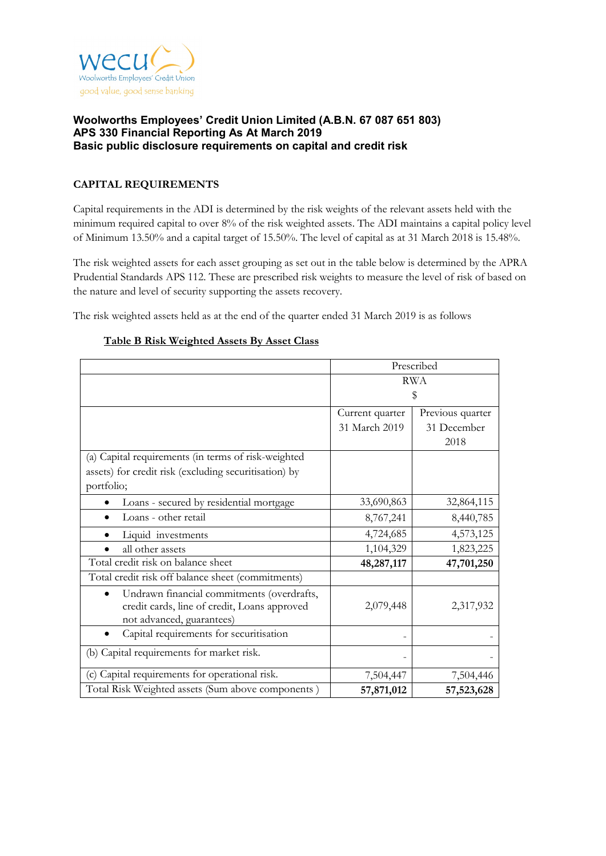

# **CAPITAL REQUIREMENTS**

Capital requirements in the ADI is determined by the risk weights of the relevant assets held with the minimum required capital to over 8% of the risk weighted assets. The ADI maintains a capital policy level of Minimum 13.50% and a capital target of 15.50%. The level of capital as at 31 March 2018 is 15.48%.

The risk weighted assets for each asset grouping as set out in the table below is determined by the APRA Prudential Standards APS 112. These are prescribed risk weights to measure the level of risk of based on the nature and level of security supporting the assets recovery.

The risk weighted assets held as at the end of the quarter ended 31 March 2019 is as follows

|                                                                                                                         | Prescribed      |                  |  |
|-------------------------------------------------------------------------------------------------------------------------|-----------------|------------------|--|
|                                                                                                                         | <b>RWA</b>      |                  |  |
|                                                                                                                         | \$              |                  |  |
|                                                                                                                         | Current quarter | Previous quarter |  |
|                                                                                                                         | 31 March 2019   | 31 December      |  |
|                                                                                                                         |                 | 2018             |  |
| (a) Capital requirements (in terms of risk-weighted                                                                     |                 |                  |  |
| assets) for credit risk (excluding securitisation) by                                                                   |                 |                  |  |
| portfolio;                                                                                                              |                 |                  |  |
| Loans - secured by residential mortgage                                                                                 | 33,690,863      | 32,864,115       |  |
| Loans - other retail                                                                                                    | 8,767,241       | 8,440,785        |  |
| Liquid investments                                                                                                      | 4,724,685       | 4,573,125        |  |
| all other assets                                                                                                        | 1,104,329       | 1,823,225        |  |
| Total credit risk on balance sheet                                                                                      | 48,287,117      | 47,701,250       |  |
| Total credit risk off balance sheet (commitments)                                                                       |                 |                  |  |
| Undrawn financial commitments (overdrafts,<br>credit cards, line of credit, Loans approved<br>not advanced, guarantees) | 2,079,448       | 2,317,932        |  |
| Capital requirements for securitisation                                                                                 |                 |                  |  |
| (b) Capital requirements for market risk.                                                                               |                 |                  |  |
| (c) Capital requirements for operational risk.                                                                          | 7,504,447       | 7,504,446        |  |
| Total Risk Weighted assets (Sum above components)                                                                       | 57,871,012      | 57,523,628       |  |

## **Table B Risk Weighted Assets By Asset Class**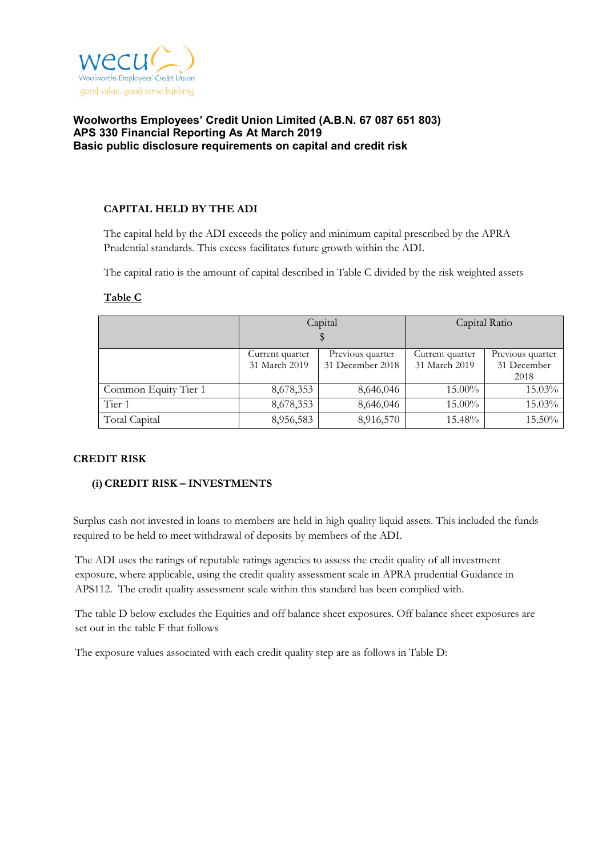

## **CAPITAL HELD BY THE ADI**

The capital held by the ADI exceeds the policy and minimum capital prescribed by the APRA Prudential standards. This excess facilitates future growth within the ADI.

The capital ratio is the amount of capital described in Table C divided by the risk weighted assets

|                      |                                   | Capital          | Capital Ratio   |                  |  |
|----------------------|-----------------------------------|------------------|-----------------|------------------|--|
|                      |                                   |                  |                 |                  |  |
|                      | Current quarter                   | Previous quarter | Current quarter | Previous quarter |  |
|                      | 31 March 2019<br>31 December 2018 |                  | 31 March 2019   | 31 December      |  |
|                      |                                   |                  |                 | 2018             |  |
| Common Equity Tier 1 | 8,678,353                         | 8,646,046        | 15.00%          | 15.03%           |  |
| Tier 1               | 8,678,353                         | 8,646,046        | 15.00%          | 15.03%           |  |
| Total Capital        | 8,956,583                         | 8,916,570        | 15.48%          | 15.50%           |  |

#### **Table C**

#### **CREDIT RISK**

# **(i)CREDIT RISK – INVESTMENTS**

Surplus cash not invested in loans to members are held in high quality liquid assets. This included the funds required to be held to meet withdrawal of deposits by members of the ADI.

The ADI uses the ratings of reputable ratings agencies to assess the credit quality of all investment exposure, where applicable, using the credit quality assessment scale in APRA prudential Guidance in APS112. The credit quality assessment scale within this standard has been complied with.

The table D below excludes the Equities and off balance sheet exposures. Off balance sheet exposures are set out in the table F that follows

The exposure values associated with each credit quality step are as follows in Table D: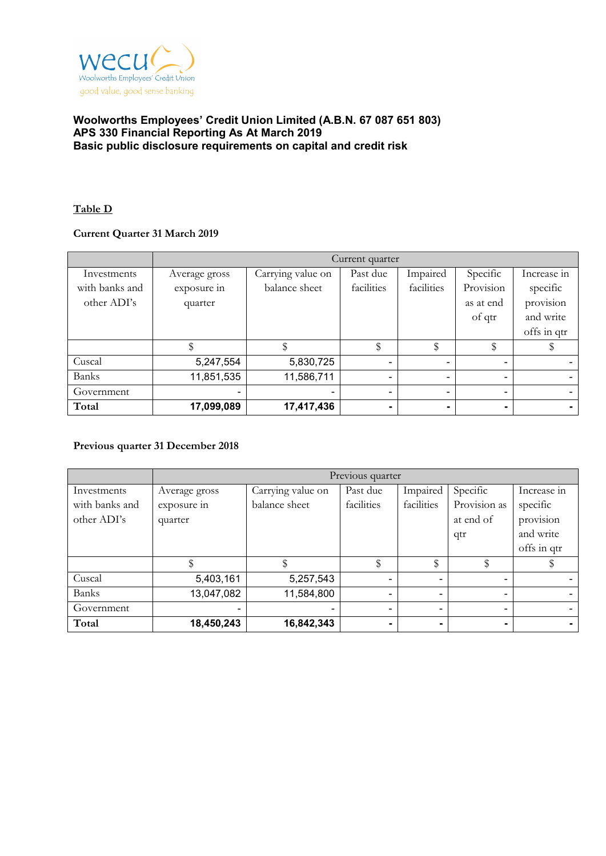

## **Table D**

## **Current Quarter 31 March 2019**

|                | Current quarter |                   |                |                |                          |                          |
|----------------|-----------------|-------------------|----------------|----------------|--------------------------|--------------------------|
| Investments    | Average gross   | Carrying value on | Past due       | Impaired       | Specific                 | Increase in              |
| with banks and | exposure in     | balance sheet     | facilities     | facilities     | Provision                | specific                 |
| other ADI's    | quarter         |                   |                |                | as at end                | provision                |
|                |                 |                   |                |                | of qtr                   | and write                |
|                |                 |                   |                |                |                          | offs in qtr              |
|                |                 |                   | \$             | \$             | \$                       |                          |
| Cuscal         | 5,247,554       | 5,830,725         | $\blacksquare$ |                | $\blacksquare$           |                          |
| <b>Banks</b>   | 11,851,535      | 11,586,711        | $\blacksquare$ | $\blacksquare$ | $\overline{\phantom{a}}$ | $\overline{\phantom{0}}$ |
| Government     |                 |                   |                |                | ۰                        |                          |
| Total          | 17,099,089      | 17,417,436        | -              |                | ۰.                       |                          |

#### **Previous quarter 31 December 2018**

|                | Previous quarter |                   |            |            |                |             |
|----------------|------------------|-------------------|------------|------------|----------------|-------------|
| Investments    | Average gross    | Carrying value on | Past due   | Impaired   | Specific       | Increase in |
| with banks and | exposure in      | balance sheet     | facilities | facilities | Provision as   | specific    |
| other ADI's    | quarter          |                   |            |            | at end of      | provision   |
|                |                  |                   |            |            | qtr            | and write   |
|                |                  |                   |            |            |                | offs in qtr |
|                |                  |                   | \$         | \$         |                |             |
| Cuscal         | 5,403,161        | 5,257,543         |            |            | ۰              |             |
| Banks          | 13,047,082       | 11,584,800        |            |            | $\blacksquare$ |             |
| Government     |                  |                   |            |            | ۰              |             |
| Total          | 18,450,243       | 16,842,343        |            |            | ۰              |             |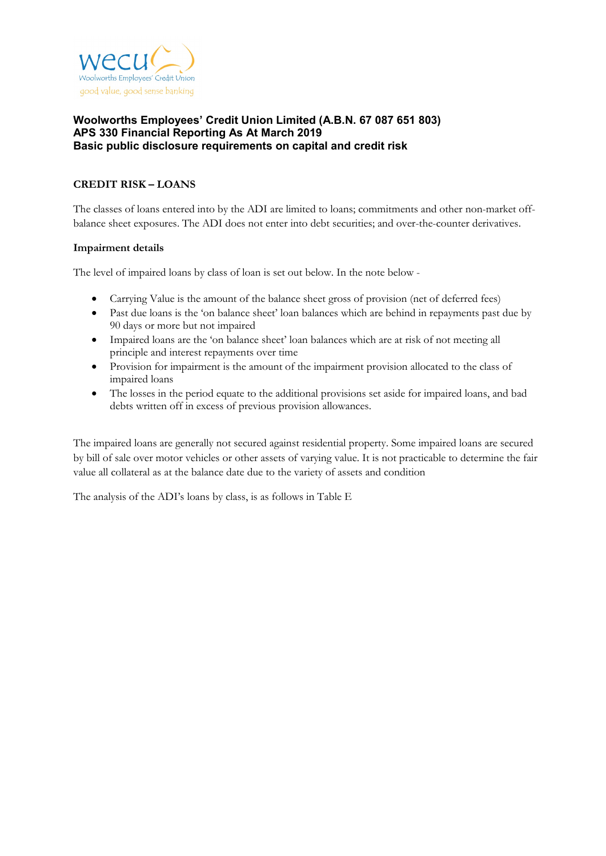

# **CREDIT RISK – LOANS**

The classes of loans entered into by the ADI are limited to loans; commitments and other non-market offbalance sheet exposures. The ADI does not enter into debt securities; and over-the-counter derivatives.

#### **Impairment details**

The level of impaired loans by class of loan is set out below. In the note below -

- Carrying Value is the amount of the balance sheet gross of provision (net of deferred fees)
- Past due loans is the 'on balance sheet' loan balances which are behind in repayments past due by 90 days or more but not impaired
- Impaired loans are the 'on balance sheet' loan balances which are at risk of not meeting all principle and interest repayments over time
- Provision for impairment is the amount of the impairment provision allocated to the class of impaired loans
- The losses in the period equate to the additional provisions set aside for impaired loans, and bad debts written off in excess of previous provision allowances.

The impaired loans are generally not secured against residential property. Some impaired loans are secured by bill of sale over motor vehicles or other assets of varying value. It is not practicable to determine the fair value all collateral as at the balance date due to the variety of assets and condition

The analysis of the ADI's loans by class, is as follows in Table E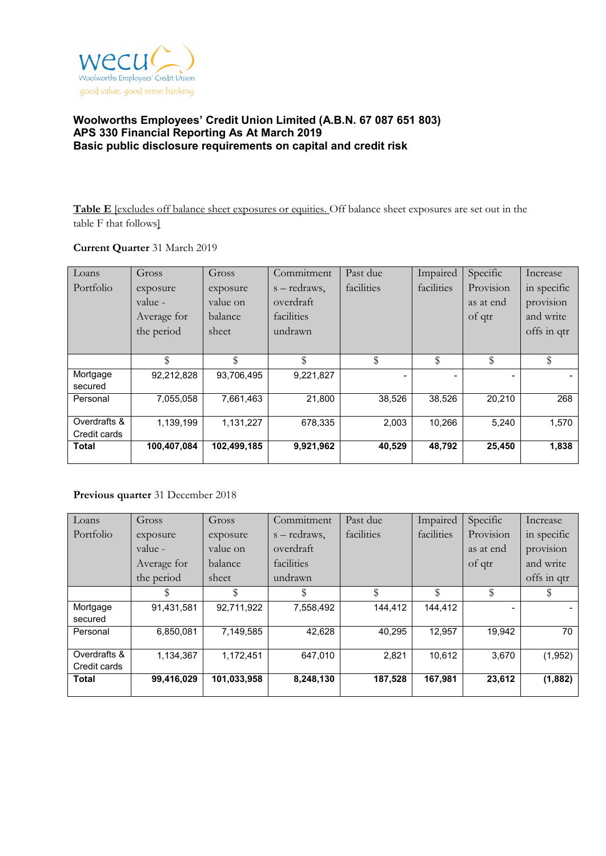

**Table E** [excludes off balance sheet exposures or equities. Off balance sheet exposures are set out in the table F that follows]

## **Current Quarter** 31 March 2019

| Loans        | Gross       | Gross       | Commitment   | Past due   | Impaired   | Specific  | Increase    |
|--------------|-------------|-------------|--------------|------------|------------|-----------|-------------|
| Portfolio    | exposure    | exposure    | s – redraws, | facilities | facilities | Provision | in specific |
|              | value -     | value on    | overdraft    |            |            | as at end | provision   |
|              | Average for | balance     | facilities   |            |            | of qtr    | and write   |
|              | the period  | sheet       | undrawn      |            |            |           | offs in qtr |
|              |             |             |              |            |            |           |             |
|              | \$          | \$          | \$           | \$         | \$         | \$        | \$          |
| Mortgage     | 92,212,828  | 93,706,495  | 9,221,827    |            |            |           |             |
| secured      |             |             |              |            |            |           |             |
| Personal     | 7,055,058   | 7,661,463   | 21,800       | 38,526     | 38,526     | 20,210    | 268         |
|              |             |             |              |            |            |           |             |
| Overdrafts & | 1,139,199   | 1,131,227   | 678,335      | 2,003      | 10,266     | 5,240     | 1,570       |
| Credit cards |             |             |              |            |            |           |             |
| <b>Total</b> | 100,407,084 | 102,499,185 | 9,921,962    | 40,529     | 48,792     | 25,450    | 1,838       |

# **Previous quarter** 31 December 2018

| Loans        | Gross       | Gross       | Commitment   | Past due   | Impaired   | Specific  | Increase    |
|--------------|-------------|-------------|--------------|------------|------------|-----------|-------------|
| Portfolio    | exposure    | exposure    | s – redraws, | facilities | facilities | Provision | in specific |
|              | value -     | value on    | overdraft    |            |            | as at end | provision   |
|              | Average for | balance     | facilities   |            |            | of qtr    | and write   |
|              | the period  | sheet       | undrawn      |            |            |           | offs in qtr |
|              | \$          | \$          | S            | \$         | \$         | \$        | S           |
| Mortgage     | 91,431,581  | 92,711,922  | 7,558,492    | 144.412    | 144.412    | -         |             |
| secured      |             |             |              |            |            |           |             |
| Personal     | 6,850,081   | 7,149,585   | 42,628       | 40,295     | 12,957     | 19.942    | 70          |
| Overdrafts & | 1,134,367   | 1,172,451   | 647,010      | 2,821      | 10.612     | 3,670     | (1,952)     |
| Credit cards |             |             |              |            |            |           |             |
| <b>Total</b> | 99,416,029  | 101,033,958 | 8,248,130    | 187,528    | 167,981    | 23,612    | (1,882)     |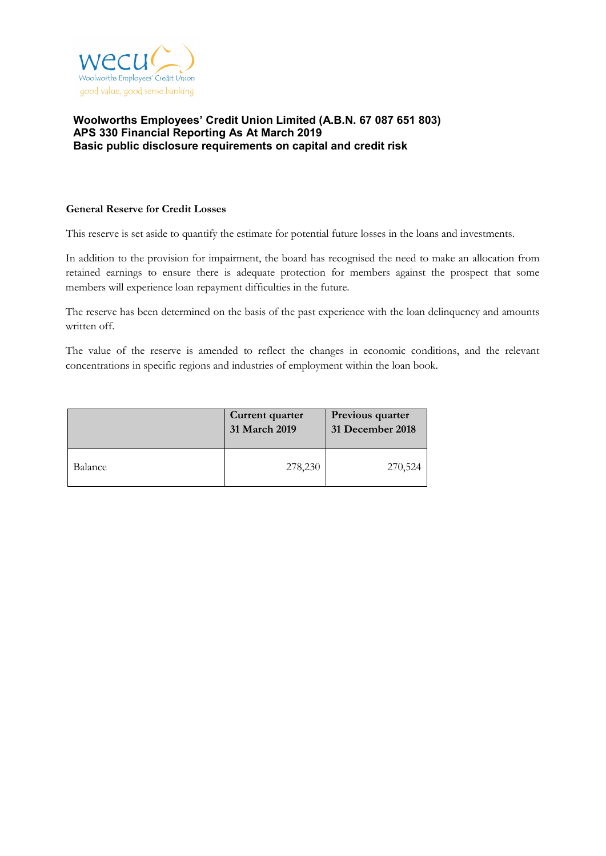

#### **General Reserve for Credit Losses**

This reserve is set aside to quantify the estimate for potential future losses in the loans and investments.

In addition to the provision for impairment, the board has recognised the need to make an allocation from retained earnings to ensure there is adequate protection for members against the prospect that some members will experience loan repayment difficulties in the future.

The reserve has been determined on the basis of the past experience with the loan delinquency and amounts written off.

The value of the reserve is amended to reflect the changes in economic conditions, and the relevant concentrations in specific regions and industries of employment within the loan book.

|         | Current quarter<br>31 March 2019 | Previous quarter<br>31 December 2018 |
|---------|----------------------------------|--------------------------------------|
| Balance | 278,230                          | 270,524                              |